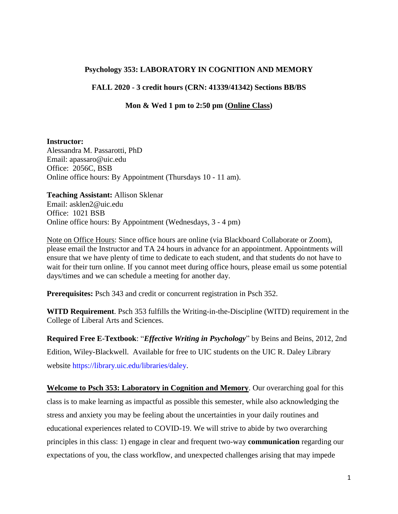# **Psychology 353: LABORATORY IN COGNITION AND MEMORY**

## **FALL 2020 - 3 credit hours (CRN: 41339/41342) Sections BB/BS**

### **Mon & Wed 1 pm to 2:50 pm (Online Class)**

#### **Instructor:**

Alessandra M. Passarotti, PhD Email: apassaro@uic.edu Office: 2056C, BSB Online office hours: By Appointment (Thursdays 10 - 11 am).

**Teaching Assistant:** Allison Sklenar Email: asklen2@uic.edu Office: 1021 BSB Online office hours: By Appointment (Wednesdays, 3 - 4 pm)

Note on Office Hours: Since office hours are online (via Blackboard Collaborate or Zoom), please email the Instructor and TA 24 hours in advance for an appointment. Appointments will ensure that we have plenty of time to dedicate to each student, and that students do not have to wait for their turn online. If you cannot meet during office hours, please email us some potential days/times and we can schedule a meeting for another day.

**Prerequisites:** Psch 343 and credit or concurrent registration in Psch 352.

**WITD Requirement**. Psch 353 fulfills the Writing-in-the-Discipline (WITD) requirement in the College of Liberal Arts and Sciences.

**Required Free E-Textbook**: "*Effective Writing in Psychology*" by Beins and Beins, 2012, 2nd Edition, Wiley-Blackwell. Available for free to UIC students on the UIC R. Daley Library website [https://library.uic.edu/libraries/daley.](https://library.uic.edu/libraries/daley)

**Welcome to Psch 353: Laboratory in Cognition and Memory**. Our overarching goal for this class is to make learning as impactful as possible this semester, while also acknowledging the stress and anxiety you may be feeling about the uncertainties in your daily routines and educational experiences related to COVID-19. We will strive to abide by two overarching principles in this class: 1) engage in clear and frequent two-way **communication** regarding our expectations of you, the class workflow, and unexpected challenges arising that may impede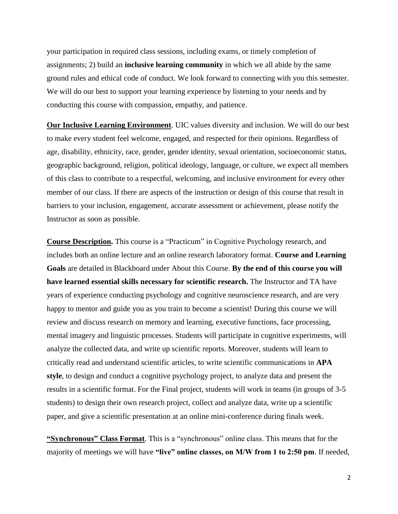your participation in required class sessions, including exams, or timely completion of assignments; 2) build an **inclusive learning community** in which we all abide by the same ground rules and ethical code of conduct. We look forward to connecting with you this semester. We will do our best to support your learning experience by listening to your needs and by conducting this course with compassion, empathy, and patience.

**Our Inclusive Learning Environment**. UIC values diversity and inclusion. We will do our best to make every student feel welcome, engaged, and respected for their opinions. Regardless of age, disability, ethnicity, race, gender, gender identity, sexual orientation, socioeconomic status, geographic background, religion, political ideology, language, or culture, we expect all members of this class to contribute to a respectful, welcoming, and inclusive environment for every other member of our class. If there are aspects of the instruction or design of this course that result in barriers to your inclusion, engagement, accurate assessment or achievement, please notify the Instructor as soon as possible.

**Course Description.** This course is a "Practicum" in Cognitive Psychology research, and includes both an online lecture and an online research laboratory format. **Course and Learning Goals** are detailed in Blackboard under About this Course. **By the end of this course you will have learned essential skills necessary for scientific research.** The Instructor and TA have years of experience conducting psychology and cognitive neuroscience research, and are very happy to mentor and guide you as you train to become a scientist! During this course we will review and discuss research on memory and learning, executive functions, face processing, mental imagery and linguistic processes. Students will participate in cognitive experiments, will analyze the collected data, and write up scientific reports. Moreover, students will learn to critically read and understand scientific articles, to write scientific communications in **APA style**, to design and conduct a cognitive psychology project, to analyze data and present the results in a scientific format. For the Final project, students will work in teams (in groups of 3-5 students) to design their own research project, collect and analyze data, write up a scientific paper, and give a scientific presentation at an online mini-conference during finals week.

**"Synchronous" Class Format**. This is a "synchronous" online class. This means that for the majority of meetings we will have **"live" online classes, on M/W from 1 to 2:50 pm**. If needed,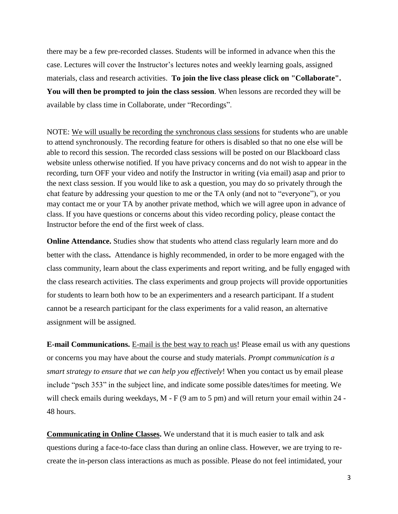there may be a few pre-recorded classes. Students will be informed in advance when this the case. Lectures will cover the Instructor's lectures notes and weekly learning goals, assigned materials, class and research activities. **To join the live class please click on "Collaborate". You will then be prompted to join the class session**. When lessons are recorded they will be available by class time in Collaborate, under "Recordings".

NOTE: We will usually be recording the synchronous class sessions for students who are unable to attend synchronously. The recording feature for others is disabled so that no one else will be able to record this session. The recorded class sessions will be posted on our Blackboard class website unless otherwise notified. If you have privacy concerns and do not wish to appear in the recording, turn OFF your video and notify the Instructor in writing (via email) asap and prior to the next class session. If you would like to ask a question, you may do so privately through the chat feature by addressing your question to me or the TA only (and not to "everyone"), or you may contact me or your TA by another private method, which we will agree upon in advance of class. If you have questions or concerns about this video recording policy, please contact the Instructor before the end of the first week of class.

**Online Attendance.** Studies show that students who attend class regularly learn more and do better with the class**.** Attendance is highly recommended, in order to be more engaged with the class community, learn about the class experiments and report writing, and be fully engaged with the class research activities. The class experiments and group projects will provide opportunities for students to learn both how to be an experimenters and a research participant. If a student cannot be a research participant for the class experiments for a valid reason, an alternative assignment will be assigned.

**E-mail Communications.** E-mail is the best way to reach us! Please email us with any questions or concerns you may have about the course and study materials. *Prompt communication is a smart strategy to ensure that we can help you effectively*! When you contact us by email please include "psch 353" in the subject line, and indicate some possible dates/times for meeting. We will check emails during weekdays, M - F (9 am to 5 pm) and will return your email within 24 -48 hours.

**Communicating in Online Classes.** We understand that it is much easier to talk and ask questions during a face-to-face class than during an online class. However, we are trying to recreate the in-person class interactions as much as possible. Please do not feel intimidated, your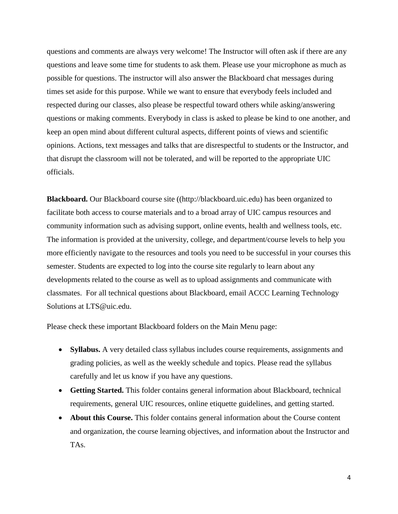questions and comments are always very welcome! The Instructor will often ask if there are any questions and leave some time for students to ask them. Please use your microphone as much as possible for questions. The instructor will also answer the Blackboard chat messages during times set aside for this purpose. While we want to ensure that everybody feels included and respected during our classes, also please be respectful toward others while asking/answering questions or making comments. Everybody in class is asked to please be kind to one another, and keep an open mind about different cultural aspects, different points of views and scientific opinions. Actions, text messages and talks that are disrespectful to students or the Instructor, and that disrupt the classroom will not be tolerated, and will be reported to the appropriate UIC officials.

**Blackboard.** Our Blackboard course site ([\(http://blackboard.uic.edu\)](http://blackboard.uic.edu/) has been organized to facilitate both access to course materials and to a broad array of UIC campus resources and community information such as advising support, online events, health and wellness tools, etc. The information is provided at the university, college, and department/course levels to help you more efficiently navigate to the resources and tools you need to be successful in your courses this semester. Students are expected to log into the course site regularly to learn about any developments related to the course as well as to upload assignments and communicate with classmates. For all technical questions about Blackboard, email ACCC Learning Technology Solutions at [LTS@uic.edu.](mailto:LTS@uic.edu)

Please check these important Blackboard folders on the Main Menu page:

- **Syllabus.** A very detailed class syllabus includes course requirements, assignments and grading policies, as well as the weekly schedule and topics. Please read the syllabus carefully and let us know if you have any questions.
- **Getting Started.** This folder contains general information about Blackboard, technical requirements, general UIC resources, online etiquette guidelines, and getting started.
- **About this Course.** This folder contains general information about the Course content and organization, the course learning objectives, and information about the Instructor and TAs.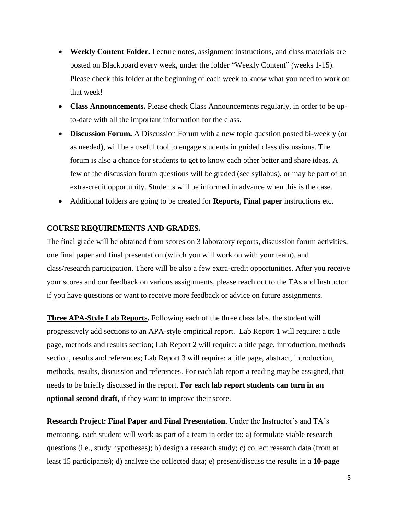- **Weekly Content Folder.** Lecture notes, assignment instructions, and class materials are posted on Blackboard every week, under the folder "Weekly Content" (weeks 1-15). Please check this folder at the beginning of each week to know what you need to work on that week!
- **Class Announcements.** Please check Class Announcements regularly, in order to be upto-date with all the important information for the class.
- **Discussion Forum.** A Discussion Forum with a new topic question posted bi-weekly (or as needed), will be a useful tool to engage students in guided class discussions. The forum is also a chance for students to get to know each other better and share ideas. A few of the discussion forum questions will be graded (see syllabus), or may be part of an extra-credit opportunity. Students will be informed in advance when this is the case.
- Additional folders are going to be created for **Reports, Final paper** instructions etc.

#### **COURSE REQUIREMENTS AND GRADES.**

The final grade will be obtained from scores on 3 laboratory reports, discussion forum activities, one final paper and final presentation (which you will work on with your team), and class/research participation. There will be also a few extra-credit opportunities. After you receive your scores and our feedback on various assignments, please reach out to the TAs and Instructor if you have questions or want to receive more feedback or advice on future assignments.

**Three APA-Style Lab Reports.** Following each of the three class labs, the student will progressively add sections to an APA-style empirical report. Lab Report 1 will require: a title page, methods and results section; Lab Report 2 will require: a title page, introduction, methods section, results and references; Lab Report 3 will require: a title page, abstract, introduction, methods, results, discussion and references. For each lab report a reading may be assigned, that needs to be briefly discussed in the report. **For each lab report students can turn in an optional second draft,** if they want to improve their score.

**Research Project: Final Paper and Final Presentation.** Under the Instructor's and TA's mentoring, each student will work as part of a team in order to: a) formulate viable research questions (i.e., study hypotheses); b) design a research study; c) collect research data (from at least 15 participants); d) analyze the collected data; e) present/discuss the results in a **10-page**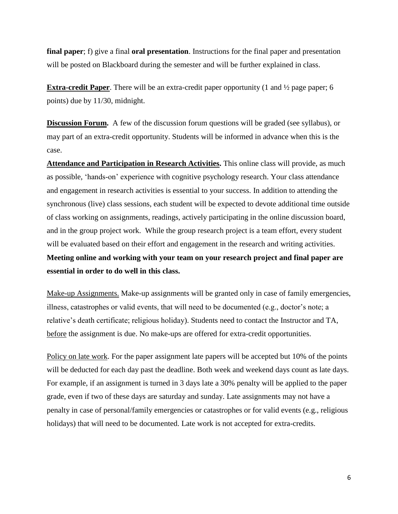**final paper**; f) give a final **oral presentation**. Instructions for the final paper and presentation will be posted on Blackboard during the semester and will be further explained in class.

**Extra-credit Paper**. There will be an extra-credit paper opportunity (1 and ½ page paper; 6 points) due by 11/30, midnight.

**Discussion Forum.** A few of the discussion forum questions will be graded (see syllabus), or may part of an extra-credit opportunity. Students will be informed in advance when this is the case.

**Attendance and Participation in Research Activities.** This online class will provide, as much as possible, 'hands-on' experience with cognitive psychology research. Your class attendance and engagement in research activities is essential to your success. In addition to attending the synchronous (live) class sessions, each student will be expected to devote additional time outside of class working on assignments, readings, actively participating in the online discussion board, and in the group project work. While the group research project is a team effort, every student will be evaluated based on their effort and engagement in the research and writing activities. **Meeting online and working with your team on your research project and final paper are essential in order to do well in this class.**

Make-up Assignments. Make-up assignments will be granted only in case of family emergencies, illness, catastrophes or valid events, that will need to be documented (e.g., doctor's note; a relative's death certificate; religious holiday). Students need to contact the Instructor and TA, before the assignment is due. No make-ups are offered for extra-credit opportunities.

Policy on late work. For the paper assignment late papers will be accepted but 10% of the points will be deducted for each day past the deadline. Both week and weekend days count as late days. For example, if an assignment is turned in 3 days late a 30% penalty will be applied to the paper grade, even if two of these days are saturday and sunday. Late assignments may not have a penalty in case of personal/family emergencies or catastrophes or for valid events (e.g., religious holidays) that will need to be documented. Late work is not accepted for extra-credits.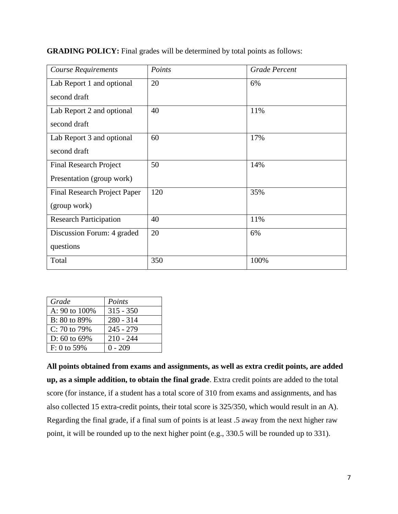| <b>Course Requirements</b>          | Points | <b>Grade Percent</b> |  |
|-------------------------------------|--------|----------------------|--|
| Lab Report 1 and optional           | 20     | 6%                   |  |
| second draft                        |        |                      |  |
| Lab Report 2 and optional           | 40     | 11%                  |  |
| second draft                        |        |                      |  |
| Lab Report 3 and optional           | 60     | 17%                  |  |
| second draft                        |        |                      |  |
| <b>Final Research Project</b>       | 50     | 14%                  |  |
| Presentation (group work)           |        |                      |  |
| <b>Final Research Project Paper</b> | 120    | 35%                  |  |
| (group work)                        |        |                      |  |
| <b>Research Participation</b>       | 40     | 11%                  |  |
| Discussion Forum: 4 graded          | 20     | 6%                   |  |
| questions                           |        |                      |  |
| Total                               | 350    | 100%                 |  |

**GRADING POLICY:** Final grades will be determined by total points as follows:

| Grade             | Points      |
|-------------------|-------------|
| A: 90 to 100%     | $315 - 350$ |
| B: 80 to 89%      | $280 - 314$ |
| C: 70 to 79%      | $245 - 279$ |
| D: $60$ to $69\%$ | $210 - 244$ |
| $F: 0$ to 59%     | $0 - 209$   |

**All points obtained from exams and assignments, as well as extra credit points, are added up, as a simple addition, to obtain the final grade**. Extra credit points are added to the total score (for instance, if a student has a total score of 310 from exams and assignments, and has also collected 15 extra-credit points, their total score is 325/350, which would result in an A). Regarding the final grade, if a final sum of points is at least .5 away from the next higher raw point, it will be rounded up to the next higher point (e.g., 330.5 will be rounded up to 331).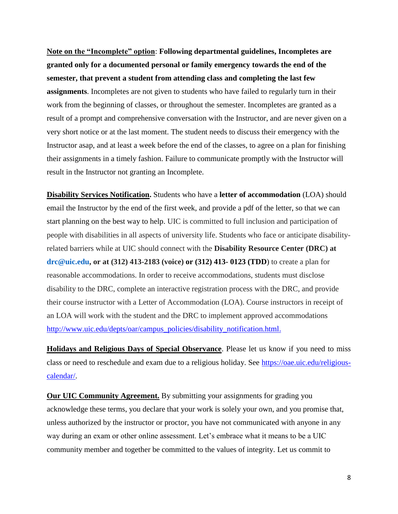**Note on the "Incomplete" option**: **Following departmental guidelines, Incompletes are granted only for a documented personal or family emergency towards the end of the semester, that prevent a student from attending class and completing the last few assignments**. Incompletes are not given to students who have failed to regularly turn in their work from the beginning of classes, or throughout the semester. Incompletes are granted as a result of a prompt and comprehensive conversation with the Instructor, and are never given on a very short notice or at the last moment. The student needs to discuss their emergency with the Instructor asap, and at least a week before the end of the classes, to agree on a plan for finishing their assignments in a timely fashion. Failure to communicate promptly with the Instructor will result in the Instructor not granting an Incomplete.

**Disability Services Notification.** Students who have a **letter of accommodation** (LOA) should email the Instructor by the end of the first week, and provide a pdf of the letter, so that we can start planning on the best way to help. UIC is committed to full inclusion and participation of people with disabilities in all aspects of university life. Students who face or anticipate disabilityrelated barriers while at UIC should connect with the **Disability Resource Center (DRC) at [drc@uic.edu,](mailto:drc@uic.edu) or at (312) 413-2183 (voice) or (312) 413- 0123 (TDD**) to create a plan for reasonable accommodations. In order to receive accommodations, students must disclose disability to the DRC, complete an interactive registration process with the DRC, and provide their course instructor with a Letter of Accommodation (LOA). Course instructors in receipt of an LOA will work with the student and the DRC to implement approved accommodations [http://www.uic.edu/depts/oar/campus\\_policies/disability\\_notification.html.](http://www.uic.edu/depts/oar/campus_policies/disability_notification.html)

**Holidays and Religious Days of Special Observance**. Please let us know if you need to miss class or need to reschedule and exam due to a religious holiday. See [https://oae.uic.edu/religious](https://oae.uic.edu/religious-calendar/)[calendar/.](https://oae.uic.edu/religious-calendar/)

**Our UIC Community Agreement.** By submitting your assignments for grading you acknowledge these terms, you declare that your work is solely your own, and you promise that, unless authorized by the instructor or proctor, you have not communicated with anyone in any way during an exam or other online assessment. Let's embrace what it means to be a UIC community member and together be committed to the values of integrity. Let us commit to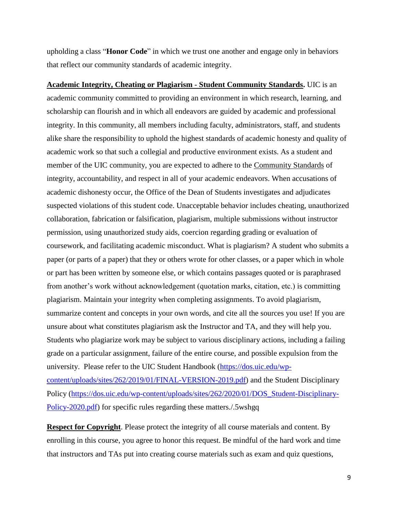upholding a class "**Honor Code**" in which we trust one another and engage only in behaviors that reflect our community standards of academic integrity.

**Academic Integrity, Cheating or Plagiarism - Student Community Standards.** UIC is an academic community committed to providing an environment in which research, learning, and scholarship can flourish and in which all endeavors are guided by academic and professional integrity. In this community, all members including faculty, administrators, staff, and students alike share the responsibility to uphold the highest standards of academic honesty and quality of academic work so that such a collegial and productive environment exists. As a student and member of the UIC community, you are expected to adhere to the [Community Standards](https://dos.uic.edu/community-standards/) of integrity, accountability, and respect in all of your academic endeavors. When [accusations of](https://dos.uic.edu/community-standards/academic-integrity/)  [academic dishonesty](https://dos.uic.edu/community-standards/academic-integrity/) occur, the Office of the Dean of Students investigates and adjudicates suspected violations of this student code. Unacceptable behavior includes cheating, unauthorized collaboration, fabrication or falsification, plagiarism, multiple submissions without instructor permission, using unauthorized study aids, coercion regarding grading or evaluation of coursework, and facilitating academic misconduct. What is plagiarism? A student who submits a paper (or parts of a paper) that they or others wrote for other classes, or a paper which in whole or part has been written by someone else, or which contains passages quoted or is paraphrased from another's work without acknowledgement (quotation marks, citation, etc.) is committing plagiarism. Maintain your integrity when completing assignments. To avoid plagiarism, summarize content and concepts in your own words, and cite all the sources you use! If you are unsure about what constitutes plagiarism ask the Instructor and TA, and they will help you. Students who plagiarize work may be subject to various disciplinary actions, including a failing grade on a particular assignment, failure of the entire course, and possible expulsion from the university. Please refer to the UIC Student Handbook [\(https://dos.uic.edu/wp](https://dos.uic.edu/wp-content/uploads/sites/262/2019/01/FINAL-VERSION-2019.pdf)[content/uploads/sites/262/2019/01/FINAL-VERSION-2019.pdf\)](https://dos.uic.edu/wp-content/uploads/sites/262/2019/01/FINAL-VERSION-2019.pdf) and the Student Disciplinary Policy [\(https://dos.uic.edu/wp-content/uploads/sites/262/2020/01/DOS\\_Student-Disciplinary-](https://dos.uic.edu/wp-content/uploads/sites/262/2020/01/DOS_Student-Disciplinary-Policy-2020.pdf)[Policy-2020.pdf\)](https://dos.uic.edu/wp-content/uploads/sites/262/2020/01/DOS_Student-Disciplinary-Policy-2020.pdf) for specific rules regarding these matters./.5wshgq

**Respect for Copyright**. Please protect the integrity of all course materials and content. By enrolling in this course, you agree to honor this request. Be mindful of the hard work and time that instructors and TAs put into creating course materials such as exam and quiz questions,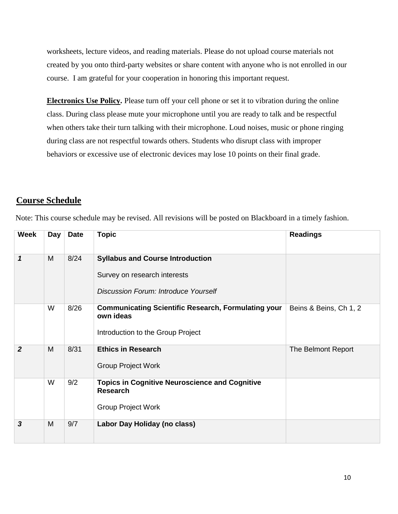worksheets, lecture videos, and reading materials. Please do not upload course materials not created by you onto third-party websites or share content with anyone who is not enrolled in our course. I am grateful for your cooperation in honoring this important request.

**Electronics Use Policy.** Please turn off your cell phone or set it to vibration during the online class. During class please mute your microphone until you are ready to talk and be respectful when others take their turn talking with their microphone. Loud noises, music or phone ringing during class are not respectful towards others. Students who disrupt class with improper behaviors or excessive use of electronic devices may lose 10 points on their final grade.

# **Course Schedule**

| <b>Week</b>    | Day | <b>Date</b> | <b>Topic</b>                                                                                                           | <b>Readings</b>        |
|----------------|-----|-------------|------------------------------------------------------------------------------------------------------------------------|------------------------|
| 1              | M   | 8/24        | <b>Syllabus and Course Introduction</b><br>Survey on research interests<br><b>Discussion Forum: Introduce Yourself</b> |                        |
|                | W   | 8/26        | <b>Communicating Scientific Research, Formulating your</b><br>own ideas<br>Introduction to the Group Project           | Beins & Beins, Ch 1, 2 |
| $\overline{2}$ | M   | 8/31        | <b>Ethics in Research</b><br><b>Group Project Work</b>                                                                 | The Belmont Report     |
|                | W   | 9/2         | <b>Topics in Cognitive Neuroscience and Cognitive</b><br><b>Research</b><br><b>Group Project Work</b>                  |                        |
| 3              | M   | 9/7         | Labor Day Holiday (no class)                                                                                           |                        |

Note: This course schedule may be revised. All revisions will be posted on Blackboard in a timely fashion.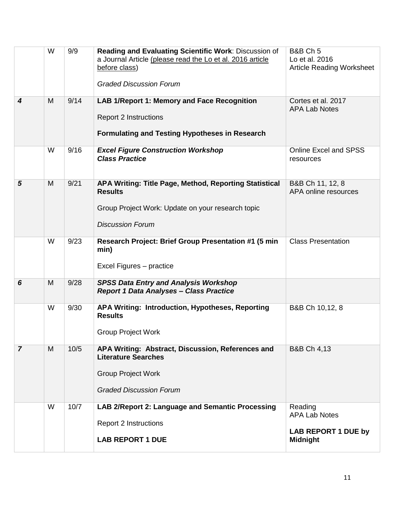|                  | W | 9/9  | Reading and Evaluating Scientific Work: Discussion of<br>a Journal Article (please read the Lo et al. 2016 article<br>before class)<br><b>Graded Discussion Forum</b> | <b>B&amp;B Ch 5</b><br>Lo et al. 2016<br><b>Article Reading Worksheet</b>        |
|------------------|---|------|-----------------------------------------------------------------------------------------------------------------------------------------------------------------------|----------------------------------------------------------------------------------|
| $\boldsymbol{4}$ | M | 9/14 | LAB 1/Report 1: Memory and Face Recognition<br><b>Report 2 Instructions</b><br><b>Formulating and Testing Hypotheses in Research</b>                                  | Cortes et al. 2017<br><b>APA Lab Notes</b>                                       |
|                  | W | 9/16 | <b>Excel Figure Construction Workshop</b><br><b>Class Practice</b>                                                                                                    | <b>Online Excel and SPSS</b><br>resources                                        |
| 5                | M | 9/21 | APA Writing: Title Page, Method, Reporting Statistical<br><b>Results</b><br>Group Project Work: Update on your research topic<br><b>Discussion Forum</b>              | B&B Ch 11, 12, 8<br>APA online resources                                         |
|                  | W | 9/23 | Research Project: Brief Group Presentation #1 (5 min<br>min)<br>Excel Figures - practice                                                                              | <b>Class Presentation</b>                                                        |
| 6                | M | 9/28 | <b>SPSS Data Entry and Analysis Workshop</b><br><b>Report 1 Data Analyses - Class Practice</b>                                                                        |                                                                                  |
|                  | W | 9/30 | APA Writing: Introduction, Hypotheses, Reporting<br><b>Results</b><br><b>Group Project Work</b>                                                                       | B&B Ch 10,12, 8                                                                  |
| $\overline{7}$   | M | 10/5 | APA Writing: Abstract, Discussion, References and<br><b>Literature Searches</b><br><b>Group Project Work</b><br><b>Graded Discussion Forum</b>                        | <b>B&amp;B Ch 4,13</b>                                                           |
|                  | W | 10/7 | LAB 2/Report 2: Language and Semantic Processing<br><b>Report 2 Instructions</b><br><b>LAB REPORT 1 DUE</b>                                                           | Reading<br><b>APA Lab Notes</b><br><b>LAB REPORT 1 DUE by</b><br><b>Midnight</b> |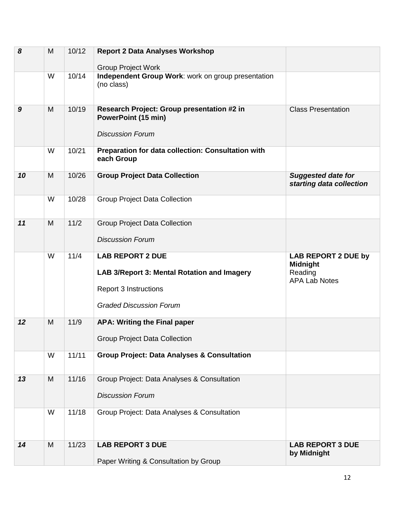| 8                | M | 10/12 | <b>Report 2 Data Analyses Workshop</b><br><b>Group Project Work</b>                                                                      |                                                                                  |
|------------------|---|-------|------------------------------------------------------------------------------------------------------------------------------------------|----------------------------------------------------------------------------------|
|                  | W | 10/14 | Independent Group Work: work on group presentation<br>(no class)                                                                         |                                                                                  |
| $\boldsymbol{9}$ | M | 10/19 | Research Project: Group presentation #2 in<br><b>PowerPoint (15 min)</b><br><b>Discussion Forum</b>                                      | <b>Class Presentation</b>                                                        |
|                  | W | 10/21 | Preparation for data collection: Consultation with<br>each Group                                                                         |                                                                                  |
| 10               | M | 10/26 | <b>Group Project Data Collection</b>                                                                                                     | <b>Suggested date for</b><br>starting data collection                            |
|                  | W | 10/28 | <b>Group Project Data Collection</b>                                                                                                     |                                                                                  |
| 11               | M | 11/2  | <b>Group Project Data Collection</b><br><b>Discussion Forum</b>                                                                          |                                                                                  |
|                  | W | 11/4  | <b>LAB REPORT 2 DUE</b><br>LAB 3/Report 3: Mental Rotation and Imagery<br><b>Report 3 Instructions</b><br><b>Graded Discussion Forum</b> | <b>LAB REPORT 2 DUE by</b><br><b>Midnight</b><br>Reading<br><b>APA Lab Notes</b> |
| 12               | M | 11/9  | <b>APA: Writing the Final paper</b><br><b>Group Project Data Collection</b>                                                              |                                                                                  |
|                  | W | 11/11 | <b>Group Project: Data Analyses &amp; Consultation</b>                                                                                   |                                                                                  |
| 13               | M | 11/16 | Group Project: Data Analyses & Consultation<br><b>Discussion Forum</b>                                                                   |                                                                                  |
|                  | W | 11/18 | Group Project: Data Analyses & Consultation                                                                                              |                                                                                  |
| 14               | M | 11/23 | <b>LAB REPORT 3 DUE</b><br>Paper Writing & Consultation by Group                                                                         | <b>LAB REPORT 3 DUE</b><br>by Midnight                                           |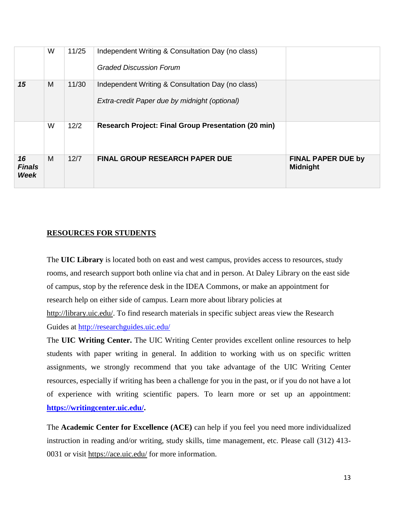|                                    | W | 11/25 | Independent Writing & Consultation Day (no class)<br><b>Graded Discussion Forum</b>                |                                              |
|------------------------------------|---|-------|----------------------------------------------------------------------------------------------------|----------------------------------------------|
| 15                                 | M | 11/30 | Independent Writing & Consultation Day (no class)<br>Extra-credit Paper due by midnight (optional) |                                              |
|                                    | W | 12/2  | <b>Research Project: Final Group Presentation (20 min)</b>                                         |                                              |
| 16<br><b>Finals</b><br><b>Week</b> | M | 12/7  | <b>FINAL GROUP RESEARCH PAPER DUE</b>                                                              | <b>FINAL PAPER DUE by</b><br><b>Midnight</b> |

# **RESOURCES FOR STUDENTS**

The **UIC Library** is located both on east and west campus, provides access to resources, study rooms, and research support both online via chat and in person. At Daley Library on the east side of campus, stop by the reference desk in the IDEA Commons, or make an appointment for research help on either side of campus. Learn more about library policies at [http://library.uic.edu/.](http://library.uic.edu/) To find research materials in specific subject areas view the Research Guides at<http://researchguides.uic.edu/>

The **UIC Writing Center.** The UIC Writing Center provides excellent online resources to help students with paper writing in general. In addition to working with us on specific written assignments, we strongly recommend that you take advantage of the UIC Writing Center resources, especially if writing has been a challenge for you in the past, or if you do not have a lot of experience with writing scientific papers. To learn more or set up an appointment: **[https://writingcenter.uic.edu/.](https://writingcenter.uic.edu/)**

The **Academic Center for Excellence (ACE)** can help if you feel you need more individualized instruction in reading and/or writing, study skills, time management, etc. Please call (312) 413- 0031 or visit<https://ace.uic.edu/> for more information.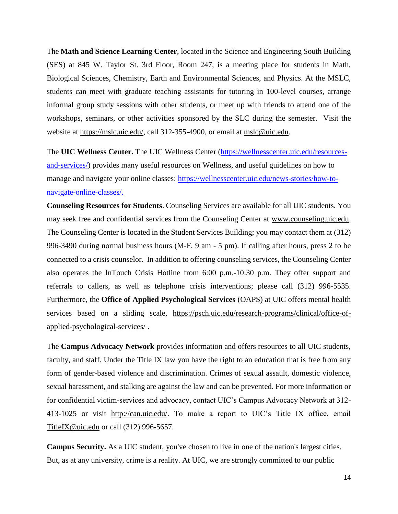The **Math and Science Learning Center**, located in the Science and Engineering South Building (SES) at 845 W. Taylor St. 3rd Floor, Room 247, is a meeting place for students in Math, Biological Sciences, Chemistry, Earth and Environmental Sciences, and Physics. At the MSLC, students can meet with graduate teaching assistants for tutoring in 100-level courses, arrange informal group study sessions with other students, or meet up with friends to attend one of the workshops, seminars, or other activities sponsored by the SLC during the semester. Visit the website at [https://mslc.uic.edu/,](https://mslc.uic.edu/) call 312-355-4900, or email at [mslc@uic.edu.](mailto:mslc@uic.edu)

The **UIC Wellness Center.** The UIC Wellness Center [\(https://wellnesscenter.uic.edu/resources](https://wellnesscenter.uic.edu/resources-and-services/)[and-services/\)](https://wellnesscenter.uic.edu/resources-and-services/) provides many useful resources on Wellness, and useful guidelines on how to manage and navigate your online classes: [https://wellnesscenter.uic.edu/news-stories/how-to](https://wellnesscenter.uic.edu/news-stories/how-to-navigate-online-classes/)[navigate-online-classes/.](https://wellnesscenter.uic.edu/news-stories/how-to-navigate-online-classes/)

**Counseling Resources for Students**. Counseling Services are available for all UIC students. You may seek free and confidential services from the Counseling Center at [www.counseling.uic.edu.](http://www.counseling.uic.edu/) The Counseling Center is located in the Student Services Building; you may contact them at (312) 996-3490 during normal business hours (M-F, 9 am - 5 pm). If calling after hours, press 2 to be connected to a crisis counselor. In addition to offering counseling services, the Counseling Center also operates the InTouch Crisis Hotline from 6:00 p.m.-10:30 p.m. They offer support and referrals to callers, as well as telephone crisis interventions; please call (312) 996-5535. Furthermore, the **Office of Applied Psychological Services** (OAPS) at UIC offers mental health services based on a sliding scale, [https://psch.uic.edu/research-programs/clinical/office-of](https://psch.uic.edu/research-programs/clinical/office-of-applied-psychological-services/)[applied-psychological-services/](https://psch.uic.edu/research-programs/clinical/office-of-applied-psychological-services/) .

The **Campus Advocacy Network** provides information and offers resources to all UIC students, faculty, and staff. Under the Title IX law you have the right to an education that is free from any form of gender-based violence and discrimination. Crimes of sexual assault, domestic violence, sexual harassment, and stalking are against the law and can be prevented. For more information or for confidential victim-services and advocacy, contact UIC's Campus Advocacy Network at 312- 413-1025 or visit [http://can.uic.edu/.](http://can.uic.edu/) To make a report to UIC's Title IX office, email [TitleIX@uic.edu](mailto:TitleIX@uic.edu) or call (312) 996-5657.

**Campus Security.** As a UIC student, you've chosen to live in one of the nation's largest cities. But, as at any university, crime is a reality. At UIC, we are strongly committed to our public